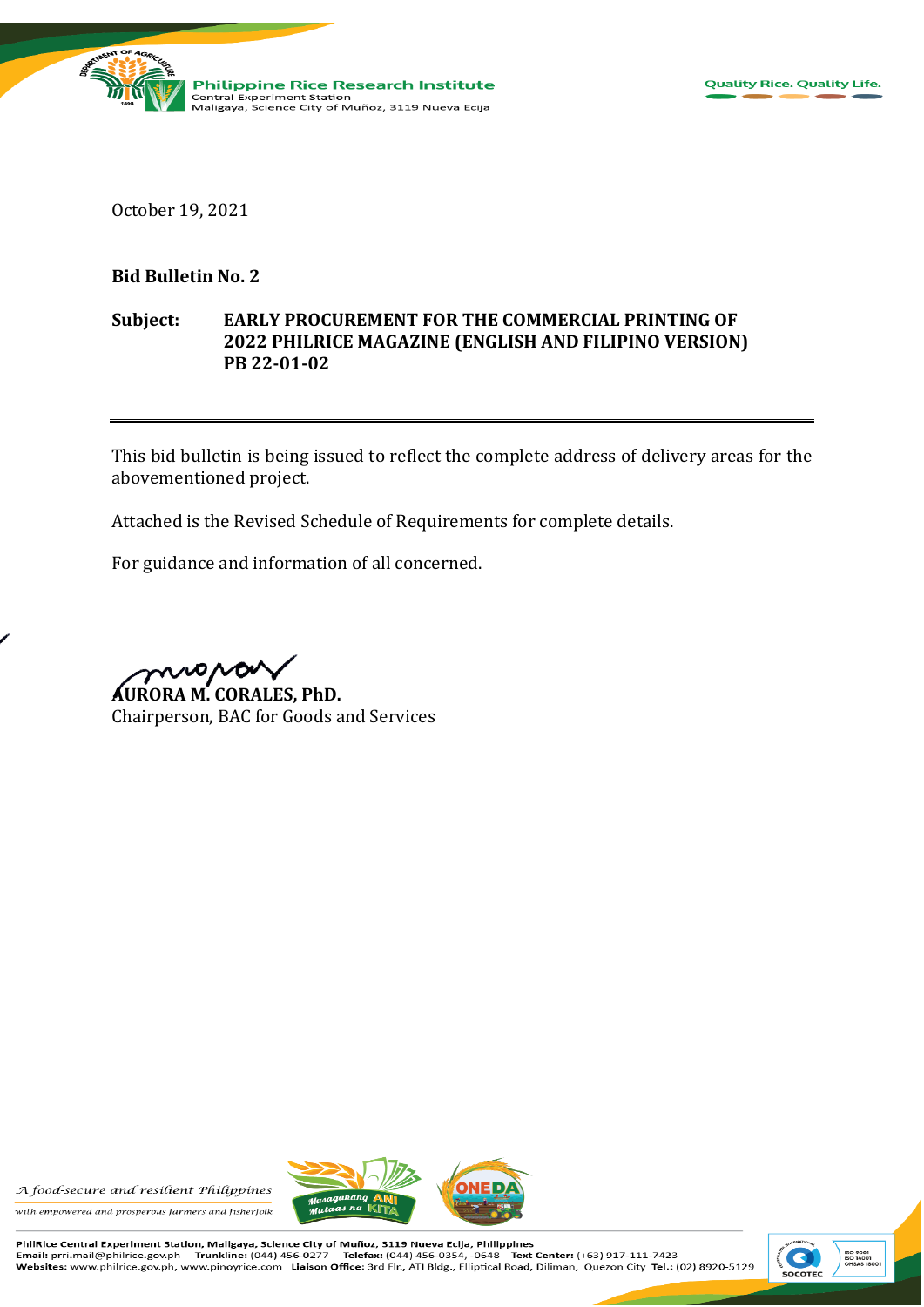

October 19, 2021

## **Bid Bulletin No. 2**

## **Subject: EARLY PROCUREMENT FOR THE COMMERCIAL PRINTING OF 2022 PHILRICE MAGAZINE (ENGLISH AND FILIPINO VERSION) PB 22-01-02**

This bid bulletin is being issued to reflect the complete address of delivery areas for the abovementioned project.

Attached is the Revised Schedule of Requirements for complete details.

For guidance and information of all concerned.

mora

**AURORA M. CORALES, PhD.** Chairperson, BAC for Goods and Services

A food-secure and resilient Philippines





PhilRice Central Experiment Station, Maligaya, Science City of Muñoz, 3119 Nueva Ecija, Philippines<br>Email: prri.mail@philrice.gov.ph Trunkline: (044) 456-0277 Telefax: (044) 456-0354, -0648 Text Text Center: (+63) 917-111-7423 Websites: www.philrice.gov.ph, www.pinoyrice.com Lialson Office: 3rd Fir., ATI Bldg., Elliptical Road, Diliman, Quezon City Tel.: (02) 8920-5129

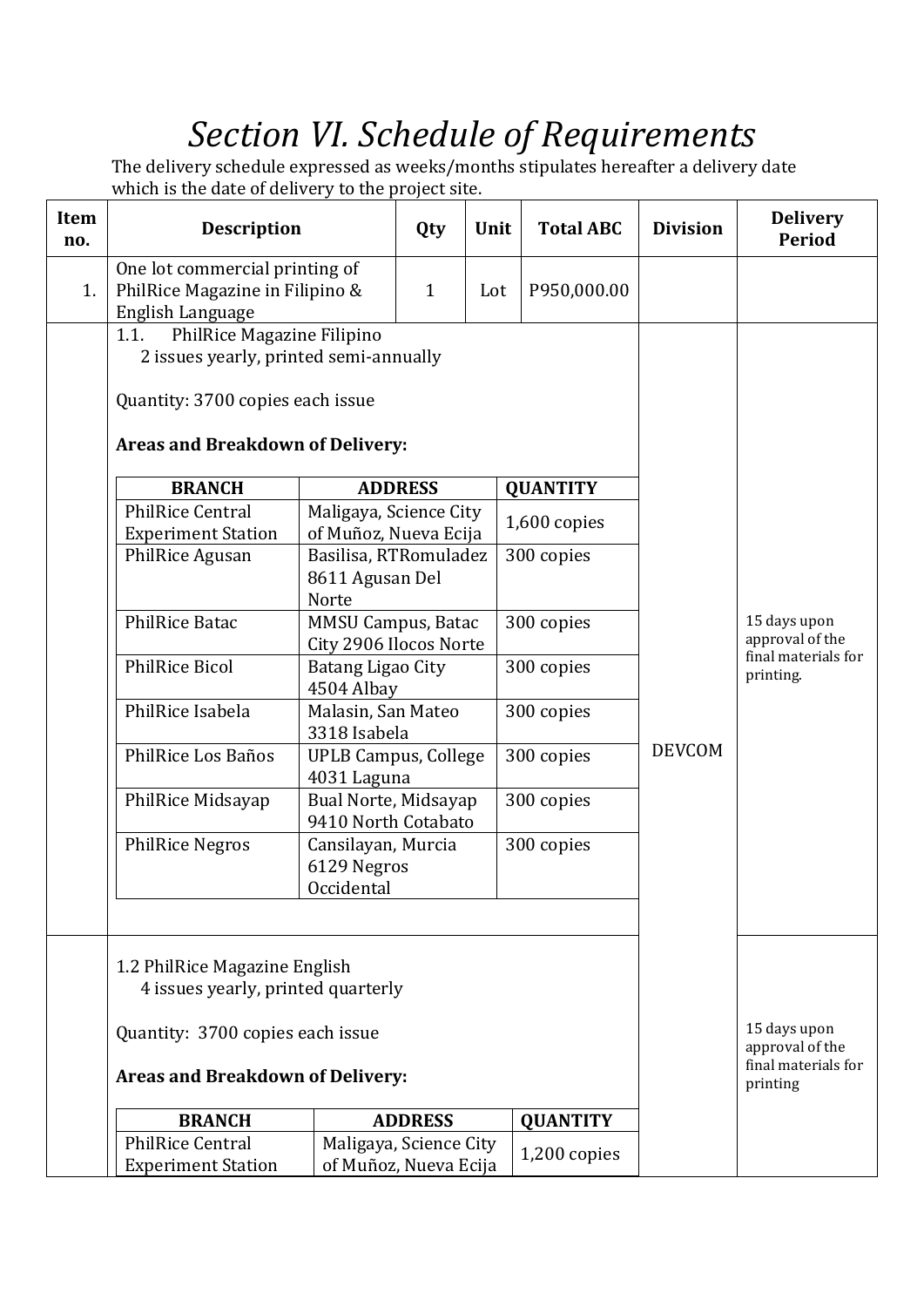## *Section VI. Schedule of Requirements*

The delivery schedule expressed as weeks/months stipulates hereafter a delivery date which is the date of delivery to the project site.

| <b>Item</b><br>no. | <b>Description</b>                                                                                                                                                                                                                   |                                                                          | Qty            | Unit | <b>Total ABC</b>                  | <b>Division</b> | <b>Delivery</b><br><b>Period</b>                                   |
|--------------------|--------------------------------------------------------------------------------------------------------------------------------------------------------------------------------------------------------------------------------------|--------------------------------------------------------------------------|----------------|------|-----------------------------------|-----------------|--------------------------------------------------------------------|
| 1.                 | One lot commercial printing of<br>PhilRice Magazine in Filipino &<br>English Language                                                                                                                                                |                                                                          | $\mathbf{1}$   | Lot  | P950,000.00                       |                 |                                                                    |
|                    | PhilRice Magazine Filipino<br>1.1.<br>2 issues yearly, printed semi-annually<br>Quantity: 3700 copies each issue<br><b>Areas and Breakdown of Delivery:</b><br><b>BRANCH</b><br><b>PhilRice Central</b><br><b>Experiment Station</b> | Maligaya, Science City<br>of Muñoz, Nueva Ecija                          | <b>ADDRESS</b> |      | <b>QUANTITY</b><br>$1,600$ copies |                 |                                                                    |
|                    | PhilRice Agusan                                                                                                                                                                                                                      | Basilisa, RTRomuladez<br>8611 Agusan Del<br>Norte                        |                |      | 300 copies                        |                 |                                                                    |
|                    | <b>PhilRice Batac</b><br><b>PhilRice Bicol</b>                                                                                                                                                                                       | <b>MMSU Campus, Batac</b><br>City 2906 Ilocos Norte<br>Batang Ligao City |                |      | 300 copies<br>300 copies          |                 | 15 days upon<br>approval of the<br>final materials for             |
|                    | PhilRice Isabela                                                                                                                                                                                                                     | 4504 Albay<br>Malasin, San Mateo<br>3318 Isabela                         |                |      | 300 copies                        |                 | printing.                                                          |
|                    | PhilRice Los Baños                                                                                                                                                                                                                   | <b>UPLB Campus, College</b><br>4031 Laguna                               |                |      | 300 copies                        | <b>DEVCOM</b>   |                                                                    |
|                    | PhilRice Midsayap                                                                                                                                                                                                                    | Bual Norte, Midsayap<br>9410 North Cotabato                              |                |      | 300 copies                        |                 |                                                                    |
|                    | <b>PhilRice Negros</b>                                                                                                                                                                                                               | Cansilayan, Murcia<br>6129 Negros<br>Occidental                          |                |      | 300 copies                        |                 |                                                                    |
|                    | 1.2 PhilRice Magazine English<br>4 issues yearly, printed quarterly<br>Quantity: 3700 copies each issue<br><b>Areas and Breakdown of Delivery:</b>                                                                                   |                                                                          |                |      |                                   |                 | 15 days upon<br>approval of the<br>final materials for<br>printing |
|                    | <b>BRANCH</b>                                                                                                                                                                                                                        |                                                                          | <b>ADDRESS</b> |      | <b>QUANTITY</b>                   |                 |                                                                    |
|                    | <b>PhilRice Central</b><br><b>Experiment Station</b>                                                                                                                                                                                 | Maligaya, Science City<br>of Muñoz, Nueva Ecija                          |                |      | 1,200 copies                      |                 |                                                                    |